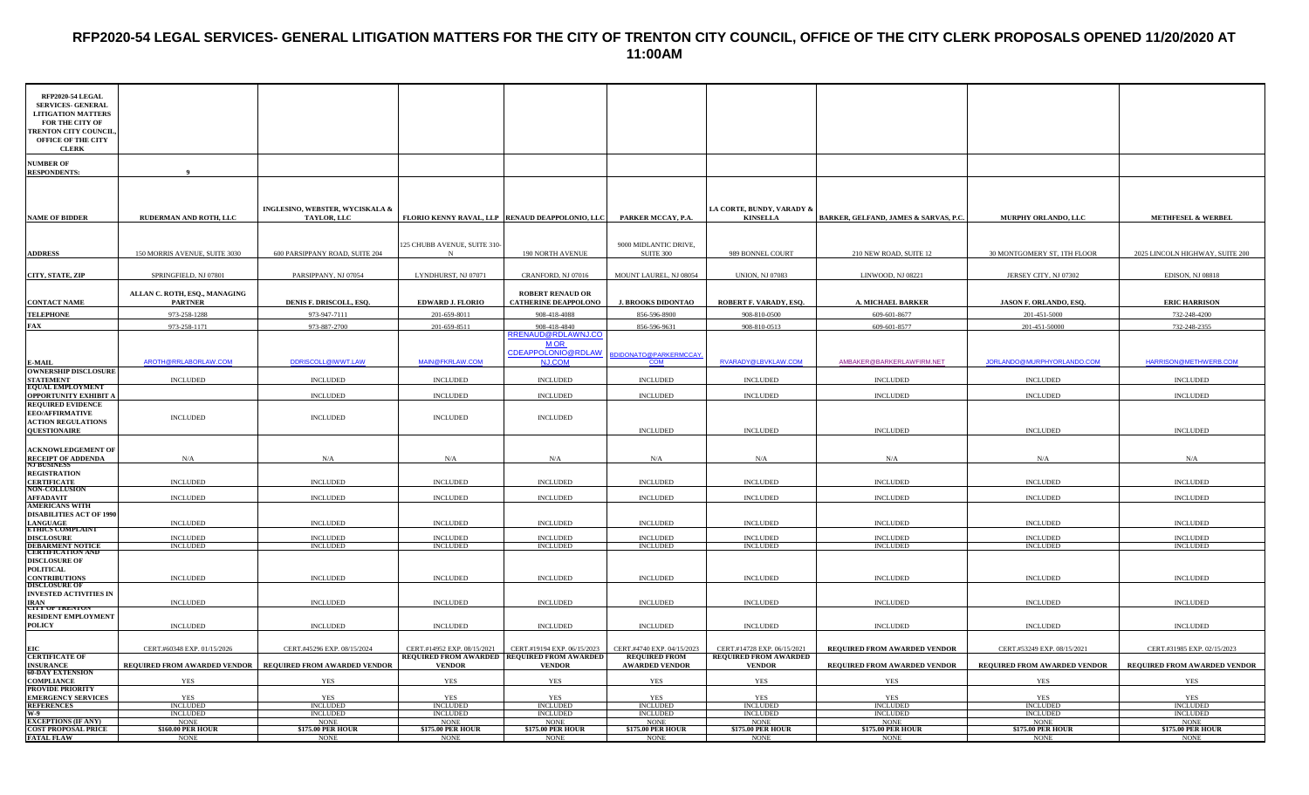#### **RFP2020-54 LEGAL SERVICES- GENERAL LITIGATION MATTERS FOR THE CITY OF TRENTON CITY COUNCIL, OFFICE OF THE CITY CLERK PROPOSALS OPENED 11/20/2020 AT 11:00AM**

| RFP2020-54 LEGAL<br><b>SERVICES- GENERAL</b><br><b>LITIGATION MATTERS</b><br>FOR THE CITY OF<br><b>TRENTON CITY COUNCIL</b><br>OFFICE OF THE CITY<br><b>CLERK</b> |                                                 |                                                |                                                              |                                                                         |                                               |                                               |                                       |                                |                                 |
|-------------------------------------------------------------------------------------------------------------------------------------------------------------------|-------------------------------------------------|------------------------------------------------|--------------------------------------------------------------|-------------------------------------------------------------------------|-----------------------------------------------|-----------------------------------------------|---------------------------------------|--------------------------------|---------------------------------|
| <b>NUMBER OF</b><br><b>RESPONDENTS:</b>                                                                                                                           | $\bf{Q}$                                        |                                                |                                                              |                                                                         |                                               |                                               |                                       |                                |                                 |
| <b>NAME OF BIDDER</b>                                                                                                                                             | RUDERMAN AND ROTH, LLC                          | INGLESINO, WEBSTER, WYCISKALA &<br>TAYLOR, LLC |                                                              | FLORIO KENNY RAVAL, LLP RENAUD DEAPPOLONIO, LLC PARKER MCCAY, P.A.      |                                               | LA CORTE, BUNDY, VARADY &<br><b>KINSELLA</b>  | BARKER, GELFAND, JAMES & SARVAS, P.C. | MURPHY ORLANDO, LLC            | <b>METHFESEL &amp; WERBEL</b>   |
| <b>ADDRESS</b>                                                                                                                                                    | 150 MORRIS AVENUE, SUITE 3030                   | 600 PARSIPPANY ROAD, SUITE 204                 | 125 CHUBB AVENUE, SUITE 310-                                 | <b>190 NORTH AVENUE</b>                                                 | 9000 MIDLANTIC DRIVE,<br><b>SUITE 300</b>     | 989 BONNEL COURT                              | 210 NEW ROAD, SUITE 12                | 30 MONTGOMERY ST, 1TH FLOOR    | 2025 LINCOLN HIGHWAY, SUITE 200 |
| CITY, STATE, ZIP                                                                                                                                                  | SPRINGFIELD, NJ 07801                           | PARSIPPANY, NJ 07054                           | LYNDHURST, NJ 07071                                          | CRANFORD, NJ 07016                                                      | MOUNT LAUREL, NJ 08054                        | <b>UNION, NJ 07083</b>                        | LINWOOD, NJ 08221                     | JERSEY CITY, NJ 07302          | <b>EDISON, NJ 08818</b>         |
| <b>CONTACT NAME</b>                                                                                                                                               | ALLAN C. ROTH, ESQ., MANAGING<br><b>PARTNER</b> | DENIS F. DRISCOLL, ESQ.                        | <b>EDWARD J. FLORIO</b>                                      | <b>ROBERT RENAUD OR</b><br><b>CATHERINE DEAPPOLONO</b>                  | <b>J. BROOKS DIDONTAO</b>                     | ROBERT F. VARADY, ESQ.                        | <b>A. MICHAEL BARKER</b>              | JASON F. ORLANDO, ESQ          | <b>ERIC HARRISON</b>            |
| <b>TELEPHONE</b>                                                                                                                                                  | 973-258-1288                                    | 973-947-7111                                   | 201-659-8011                                                 | 908-418-4088                                                            | 856-596-8900                                  | 908-810-0500                                  | 609-601-8677                          | 201-451-5000                   | 732-248-4200                    |
| FAX                                                                                                                                                               | 973-258-1171                                    | 973-887-2700                                   | 201-659-8511                                                 | 908-418-4840                                                            | 856-596-9631                                  | 908-810-0513                                  | 609-601-8577                          | 201-451-50000                  | 732-248-2355                    |
| <b>E-MAIL</b>                                                                                                                                                     | AROTH@RRLABORLAW.COM                            | DDRISCOLL@IWWT.LAW                             | MAIN@FKRLAW.COM                                              | RRENAUD@RDLAWNJ.CO<br><b>MOR</b><br>CDEAPPOLONIO@RDLAW<br><b>NJ.COM</b> | BDIDONATO@PARKERMCCAY<br><b>COM</b>           | RVARADY@LBVKLAW.COM                           | AMBAKER@BARKERLAWFIRM.NET             | JORLANDO@MURPHYORLANDO.COM     | HARRISON@METHWERB.COM           |
| <b>OWNERSHIP DISCLOSURE</b><br><b>STATEMENT</b>                                                                                                                   | $\sf INCLUDED$                                  | <b>INCLUDED</b>                                | <b>INCLUDED</b>                                              | $\sf INCLUDED$                                                          | <b>INCLUDED</b>                               | <b>INCLUDED</b>                               | <b>INCLUDED</b>                       | $\sf INCLUDED$                 | <b>INCLUDED</b>                 |
| <b>EQUAL EMPLOYMENT</b><br><b>OPPORTUNITY EXHIBIT A</b>                                                                                                           |                                                 | <b>INCLUDED</b>                                | $\sf INCLUDED$                                               | <b>INCLUDED</b>                                                         | <b>INCLUDED</b>                               | <b>INCLUDED</b>                               | <b>INCLUDED</b>                       | <b>INCLUDED</b>                | <b>INCLUDED</b>                 |
| <b>REQUIRED EVIDENCE</b><br><b>EEO/AFFIRMATIVE</b><br><b>ACTION REGULATIONS</b><br><b>QUESTIONAIRE</b>                                                            | <b>INCLUDED</b>                                 | <b>INCLUDED</b>                                | <b>INCLUDED</b>                                              | <b>INCLUDED</b>                                                         | <b>INCLUDED</b>                               | <b>INCLUDED</b>                               | <b>INCLUDED</b>                       | <b>INCLUDED</b>                | <b>INCLUDED</b>                 |
| <b>ACKNOWLEDGEMENT OF</b><br><b>RECEIPT OF ADDENDA</b><br>NJ BUSINESS                                                                                             | N/A                                             | N/A                                            | N/A                                                          | N/A                                                                     | N/A                                           | N/A                                           | N/A                                   | N/A                            | N/A                             |
| <b>REGISTRATION</b><br><b>CERTIFICATE</b>                                                                                                                         | <b>INCLUDED</b>                                 | <b>INCLUDED</b>                                | <b>INCLUDED</b>                                              | <b>INCLUDED</b>                                                         | <b>INCLUDED</b>                               | <b>INCLUDED</b>                               | <b>INCLUDED</b>                       | <b>INCLUDED</b>                | <b>INCLUDED</b>                 |
| <b>NON-COLLUSION</b><br><b>AFFADAVIT</b>                                                                                                                          | <b>INCLUDED</b>                                 | <b>INCLUDED</b>                                | <b>INCLUDED</b>                                              | <b>INCLUDED</b>                                                         | <b>INCLUDED</b>                               | <b>INCLUDED</b>                               | <b>INCLUDED</b>                       | <b>INCLUDED</b>                | <b>INCLUDED</b>                 |
| <b>AMERICANS WITH</b><br><b>DISABILITIES ACT OF 1990</b><br>LANGUAGE<br>ETHICS COMPLAINT                                                                          | $\sf INCLUDED$                                  | <b>INCLUDED</b>                                | <b>INCLUDED</b>                                              | <b>INCLUDED</b>                                                         | <b>INCLUDED</b>                               | <b>INCLUDED</b>                               | <b>INCLUDED</b>                       | <b>INCLUDED</b>                | <b>INCLUDED</b>                 |
| <b>DISCLOSURE</b>                                                                                                                                                 | <b>INCLUDED</b>                                 | <b>INCLUDED</b>                                | <b>INCLUDED</b>                                              | <b>INCLUDED</b>                                                         | <b>INCLUDED</b>                               | <b>INCLUDED</b>                               | <b>INCLUDED</b>                       | <b>INCLUDED</b>                | <b>INCLUDED</b>                 |
| <b>DEBARMENT NOTICE<br/>CERTIFICATION AND</b>                                                                                                                     | <b>INCLUDED</b>                                 | <b>INCLUDED</b>                                | <b>INCLUDED</b>                                              | <b>INCLUDED</b>                                                         | <b>INCLUDED</b>                               | <b>INCLUDED</b>                               | <b>INCLUDED</b>                       | <b>INCLUDED</b>                | <b>INCLUDED</b>                 |
| <b>DISCLOSURE OF</b><br>POLITICAL<br><b>CONTRIBUTIONS</b><br><b>DISCLOSURE OF</b>                                                                                 | $\sf INCLUDED$                                  | <b>INCLUDED</b>                                | <b>INCLUDED</b>                                              | <b>INCLUDED</b>                                                         | <b>INCLUDED</b>                               | <b>INCLUDED</b>                               | <b>INCLUDED</b>                       | $\sf INCLUDED$                 | <b>INCLUDED</b>                 |
| <b>INVESTED ACTIVITIES IN</b><br><b>IRAN</b><br><b>CITY OF TRENTON</b>                                                                                            | <b>INCLUDED</b>                                 | <b>INCLUDED</b>                                | <b>INCLUDED</b>                                              | <b>INCLUDED</b>                                                         | <b>INCLUDED</b>                               | <b>INCLUDED</b>                               | <b>INCLUDED</b>                       | <b>INCLUDED</b>                | <b>INCLUDED</b>                 |
| <b>RESIDENT EMPLOYMENT</b><br><b>POLICY</b>                                                                                                                       | <b>INCLUDED</b>                                 | <b>INCLUDED</b>                                | <b>INCLUDED</b>                                              | <b>INCLUDED</b>                                                         | <b>INCLUDED</b>                               | <b>INCLUDED</b>                               | <b>INCLUDED</b>                       | <b>INCLUDED</b>                | <b>INCLUDED</b>                 |
| EІC                                                                                                                                                               | CERT.#60348 EXP. 01/15/2026                     | CERT.#45296 EXP. 08/15/2024                    | CERT.#14952 EXP. 08/15/2021                                  | CERT.#19194 EXP. 06/15/2023                                             | CERT.#4740 EXP. 04/15/2023                    | CERT.#14728 EXP. 06/15/2021                   | REQUIRED FROM AWARDED VENDOR          | CERT.#53249 EXP. 08/15/2021    | CERT.#31985 EXP. 02/15/2023     |
| <b>CERTIFICATE OF</b><br><b>INSURANCE</b><br><b>60-DAY EXTENSION</b>                                                                                              | REQUIRED FROM AWARDED VENDOR                    | REQUIRED FROM AWARDED VENDOR                   | REQUIRED FROM AWARDED REQUIRED FROM AWARDED<br><b>VENDOR</b> | <b>VENDOR</b>                                                           | <b>REQUIRED FROM</b><br><b>AWARDED VENDOR</b> | <b>REQUIRED FROM AWARDED</b><br><b>VENDOR</b> | REQUIRED FROM AWARDED VENDOR          | REQUIRED FROM AWARDED VENDOR   | REQUIRED FROM AWARDED VENDOR    |
| COMPLIANCE                                                                                                                                                        | <b>YES</b>                                      | YES                                            | <b>YES</b>                                                   | <b>YES</b>                                                              | <b>YES</b>                                    | <b>YES</b>                                    | <b>YES</b>                            | <b>YES</b>                     | <b>YES</b>                      |
| PROVIDE PRIORITY<br><b>EMERGENCY SERVICES</b>                                                                                                                     | <b>YES</b>                                      | YES                                            | <b>YES</b>                                                   | <b>YES</b>                                                              | YES                                           | YES                                           | <b>YES</b>                            | YES                            | YES                             |
| REFERENCES                                                                                                                                                        | <b>INCLUDED</b>                                 | <b>INCLUDED</b>                                | <b>INCLUDED</b>                                              | <b>INCLUDED</b>                                                         | <b>INCLUDED</b>                               | <b>INCLUDED</b>                               | <b>INCLUDED</b>                       | <b>INCLUDED</b>                | <b>INCLUDED</b>                 |
| $W=9$                                                                                                                                                             | <b>INCLUDED</b><br><b>NONE</b>                  | <b>INCLUDED</b><br><b>NONE</b>                 | <b>INCLUDED</b><br><b>NONE</b>                               | <b>INCLUDED</b><br><b>NONE</b>                                          | <b>INCLUDED</b><br><b>NONE</b>                | <b>INCLUDED</b><br><b>NONE</b>                | INCLUDED<br><b>NONE</b>               | <b>INCLUDED</b><br><b>NONE</b> | <b>INCLUDED</b><br><b>NONE</b>  |
| <b>EXCEPTIONS (IF ANY)</b><br><b>COST PROPOSAL PRICE</b>                                                                                                          | \$160.00 PER HOUR                               | \$175.00 PER HOUR                              | \$175.00 PER HOUR                                            | <b>\$175.00 PER HOUR</b>                                                | \$175.00 PER HOUR                             | <b>\$175.00 PER HOUR</b>                      | \$175.00 PER HOUR                     | \$175.00 PER HOUF              | \$175.00 PER HOUR               |
| <b>FATAL FLAW</b>                                                                                                                                                 | <b>NONE</b>                                     | <b>NONE</b>                                    | <b>NONE</b>                                                  | <b>NONE</b>                                                             | <b>NONE</b>                                   | <b>NONE</b>                                   | <b>NONE</b>                           | <b>NONE</b>                    | <b>NONE</b>                     |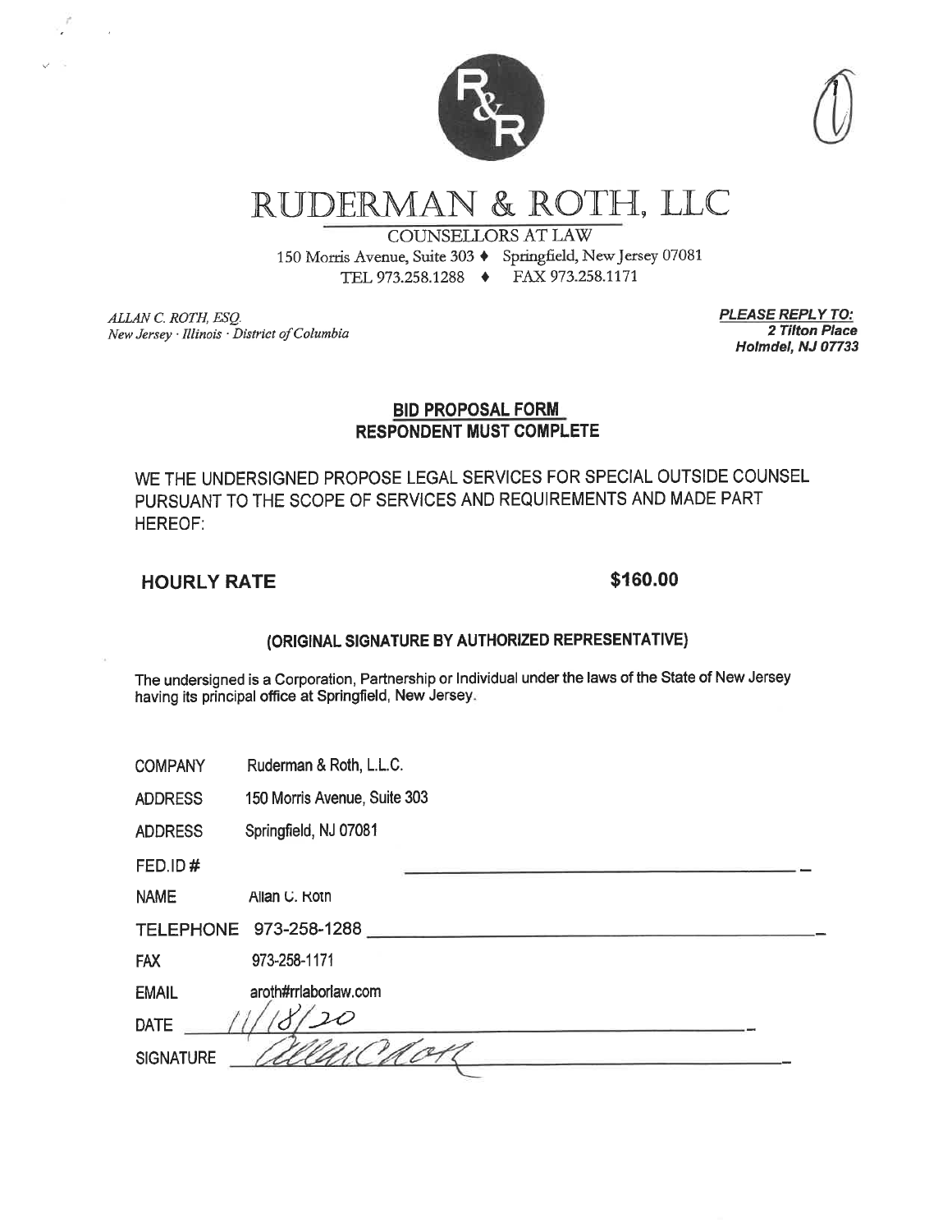

# RUDERMAN & ROTH, LLC

**COUNSELLORS AT LAW** 150 Morris Avenue, Suite 303 + Springfield, New Jersey 07081 TEL 973.258.1288 + FAX 973.258.1171

ALLAN C. ROTH, ESQ. New Jersey · Illinois · District of Columbia <u>PLEASE REPLY TO:</u> 2 Tilton Place Holmdel, NJ 07733

#### **BID PROPOSAL FORM RESPONDENT MUST COMPLETE**

WE THE UNDERSIGNED PROPOSE LEGAL SERVICES FOR SPECIAL OUTSIDE COUNSEL PURSUANT TO THE SCOPE OF SERVICES AND REQUIREMENTS AND MADE PART **HEREOF:** 

### **HOURLY RATE**

#### \$160.00

#### (ORIGINAL SIGNATURE BY AUTHORIZED REPRESENTATIVE)

The undersigned is a Corporation, Partnership or Individual under the laws of the State of New Jersey having its principal office at Springfield, New Jersey.

| Ruderman & Roth, L.L.C.<br><b>COMPANY</b> |  |  |
|-------------------------------------------|--|--|
|-------------------------------------------|--|--|

150 Morris Avenue, Suite 303 **ADDRESS** 

Springfield, NJ 07081 **ADDRESS** 

FED.ID#

**NAME** Allan U. Rotn

|  | TELEPHONE 973-258-1288 |
|--|------------------------|
|--|------------------------|

**FAX** 973-258-1171

**EMAIL** aroth#rrlaborlaw.com

| ________         | _______                           |  |
|------------------|-----------------------------------|--|
| <b>DATE</b>      |                                   |  |
| <b>SIGNATURE</b> |                                   |  |
|                  | The company's company's company's |  |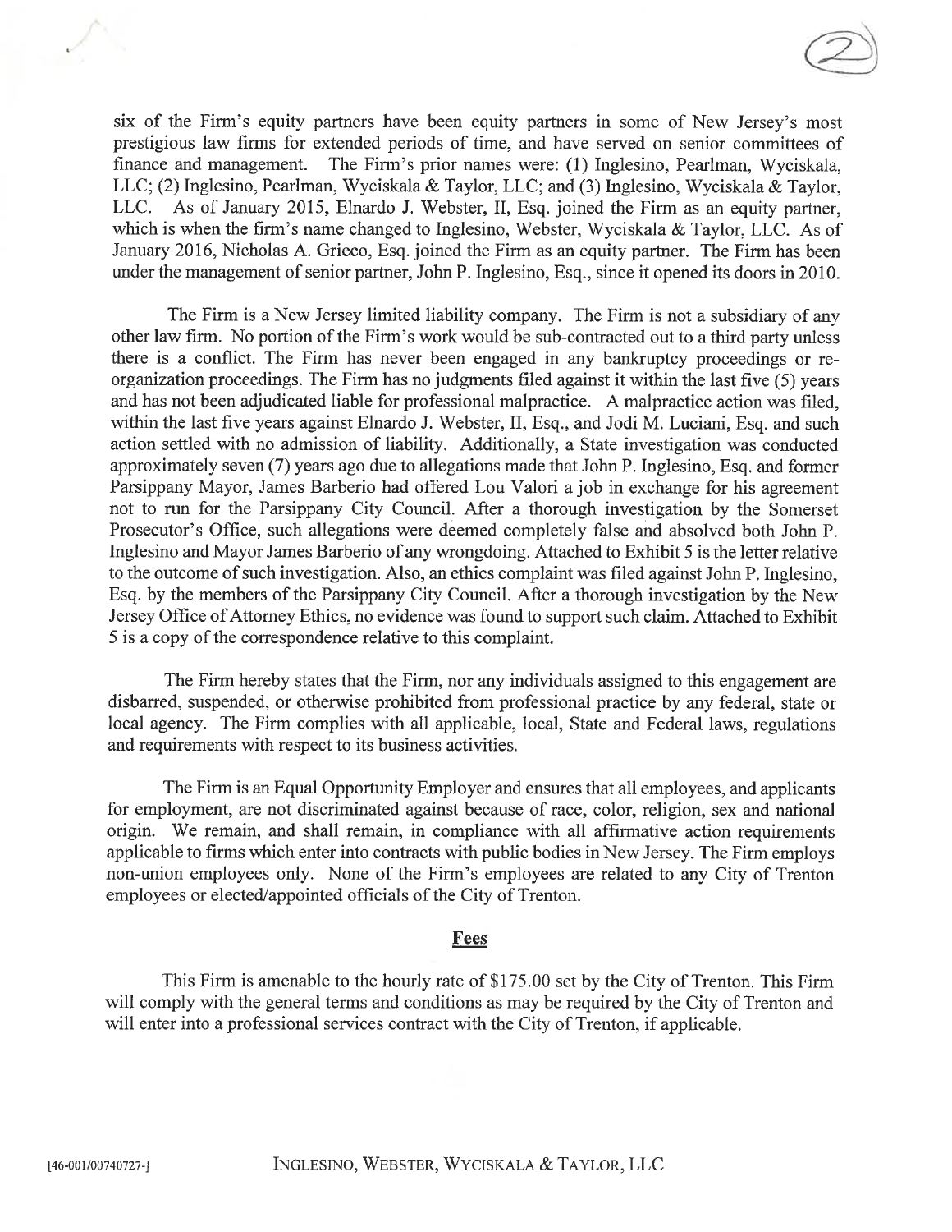six of the Firm's equity partners have been equity partners in some of New Jersey's most prestigious law firms for extended periods of time, and have served on senior committees of finance and management. The Firm's prior names were: (1) Inglesino, Pearlman, Wyciskala, LLC; (2) Inglesino, Pearlman, Wyciskala & Taylor, LLC; and (3) Inglesino, Wyciskala & Taylor, LLC. As of January 2015, Elnardo J. Webster, II, Esq. joined the Firm as an equity partner, which is when the firm's name changed to Inglesino, Webster, Wyciskala & Taylor, LLC. As of January 2016, Nicholas A. Grieco, Esq. joined the Firm as an equity partner. The Firm has been under the management of senior partner, John P. Inglesino, Esq., since it opened its doors in 2010.

The Firm is a New Jersey limited liability company. The Firm is not a subsidiary of any other law firm. No portion of the Firm's work would be sub-contracted out to a third party unless there is a conflict. The Firm has never been engaged in any bankruptcy proceedings or reorganization proceedings. The Firm has no judgments filed against it within the last five (5) years and has not been adjudicated liable for professional malpractice. A malpractice action was filed, within the last five years against Elnardo J. Webster, II, Esq., and Jodi M. Luciani, Esq. and such action settled with no admission of liability. Additionally, a State investigation was conducted approximately seven (7) years ago due to allegations made that John P. Inglesino, Esq. and former Parsippany Mayor, James Barberio had offered Lou Valori a job in exchange for his agreement not to run for the Parsippany City Council. After a thorough investigation by the Somerset Prosecutor's Office, such allegations were deemed completely false and absolved both John P. Inglesino and Mayor James Barberio of any wrongdoing. Attached to Exhibit 5 is the letter relative to the outcome of such investigation. Also, an ethics complaint was filed against John P. Inglesino, Esq. by the members of the Parsippany City Council. After a thorough investigation by the New Jersey Office of Attorney Ethics, no evidence was found to support such claim. Attached to Exhibit 5 is a copy of the correspondence relative to this complaint.

The Firm hereby states that the Firm, nor any individuals assigned to this engagement are disbarred, suspended, or otherwise prohibited from professional practice by any federal, state or local agency. The Firm complies with all applicable, local, State and Federal laws, regulations and requirements with respect to its business activities.

The Firm is an Equal Opportunity Employer and ensures that all employees, and applicants for employment, are not discriminated against because of race, color, religion, sex and national origin. We remain, and shall remain, in compliance with all affirmative action requirements applicable to firms which enter into contracts with public bodies in New Jersey. The Firm employs non-union employees only. None of the Firm's employees are related to any City of Trenton employees or elected/appointed officials of the City of Trenton.

#### **Fees**

This Firm is amenable to the hourly rate of \$175.00 set by the City of Trenton. This Firm will comply with the general terms and conditions as may be required by the City of Trenton and will enter into a professional services contract with the City of Trenton, if applicable.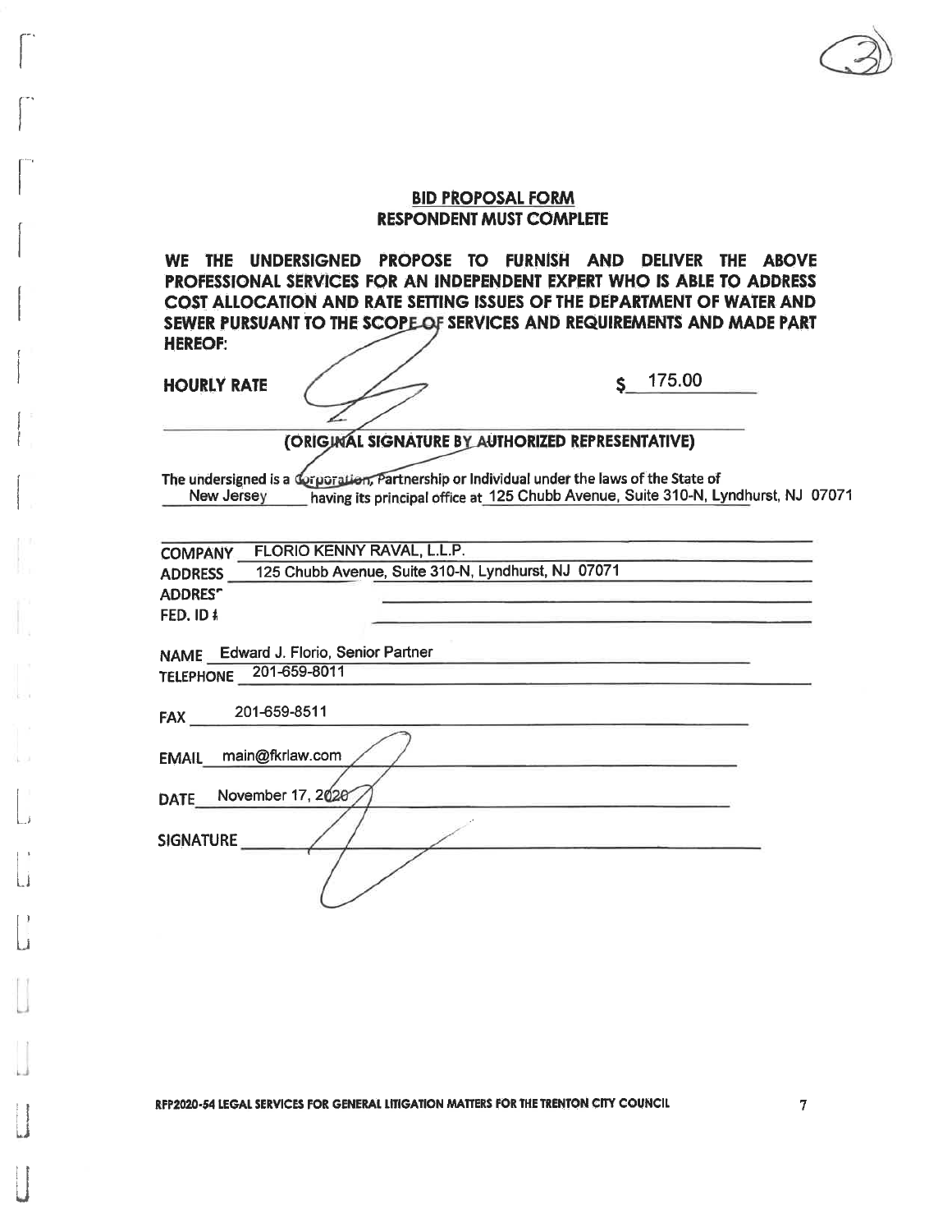WE THE UNDERSIGNED PROPOSE TO FURNISH AND DELIVER THE ABOVE PROFESSIONAL SERVICES FOR AN INDEPENDENT EXPERT WHO IS ABLE TO ADDRESS COST ALLOCATION AND RATE SETTING ISSUES OF THE DEPARTMENT OF WATER AND SEWER PURSUANT TO THE SCOPE OF SERVICES AND REQUIREMENTS AND MADE PART **HEREOF:** 

**HOURLY RATE** 

175.00 Ś

#### (ORIGINAL SIGNATURE BY AUTHORIZED REPRESENTATIVE)

The undersigned is a Corporation, Partnership or Individual under the laws of the State of having its principal office at 125 Chubb Avenue, Suite 310-N, Lyndhurst, NJ 07071 New Jersey

| <b>COMPANY</b>                        | FLORIO KENNY RAVAL, L.L.P.                         |  |
|---------------------------------------|----------------------------------------------------|--|
| <b>ADDRESS</b>                        | 125 Chubb Avenue, Suite 310-N, Lyndhurst, NJ 07071 |  |
| <b>ADDREST</b>                        |                                                    |  |
| FED. ID #                             |                                                    |  |
|                                       |                                                    |  |
| NAME Edward J. Florio, Senior Partner |                                                    |  |
| 201-659-8011<br><b>TELEPHONE</b>      |                                                    |  |
|                                       |                                                    |  |
| 201-659-8511<br><b>FAX</b>            |                                                    |  |
|                                       |                                                    |  |
| main@fkrlaw.com<br><b>EMAIL</b>       |                                                    |  |
|                                       |                                                    |  |
| November 17, 2020<br><b>DATE</b>      |                                                    |  |
|                                       |                                                    |  |
| <b>SIGNATURE</b>                      |                                                    |  |
|                                       |                                                    |  |
|                                       |                                                    |  |
|                                       |                                                    |  |

RFP2020-54 LEGAL SERVICES FOR GENERAL LITIGATION MATTERS FOR THE TRENTON CITY COUNCIL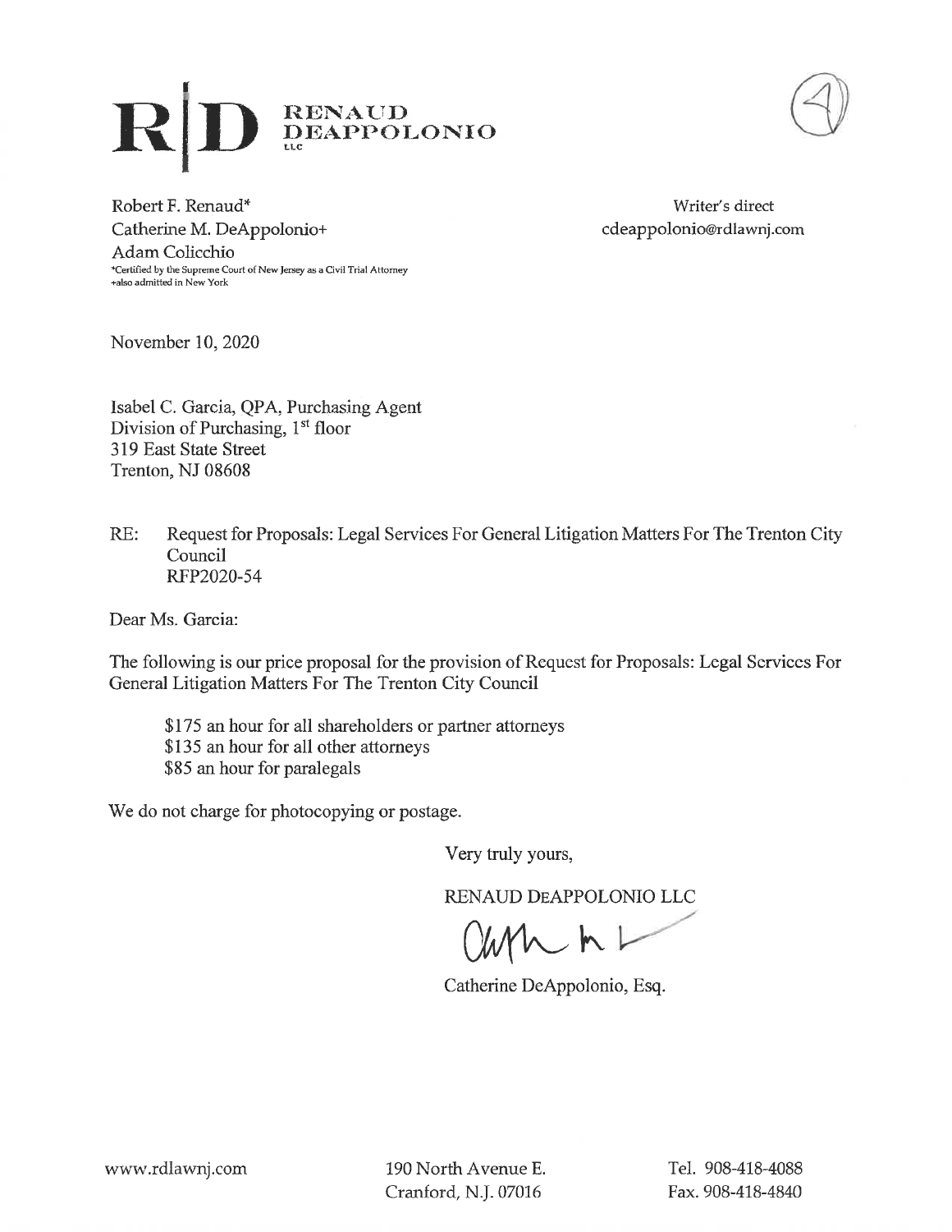



Robert F. Renaud\* Catherine M. DeAppolonio+ Adam Colicchio -<br>\*Certified by the Supreme Court of New Jersey as a Civil Trial Attorney +also admitted in New York

Writer's direct cdeappolonio@rdlawnj.com

November 10, 2020

Isabel C. Garcia, QPA, Purchasing Agent Division of Purchasing, 1<sup>st</sup> floor 319 East State Street Trenton, NJ 08608

RE: Request for Proposals: Legal Services For General Litigation Matters For The Trenton City Council RFP2020-54

Dear Ms. Garcia:

The following is our price proposal for the provision of Request for Proposals: Legal Services For General Litigation Matters For The Trenton City Council

\$175 an hour for all shareholders or partner attorneys \$135 an hour for all other attorneys \$85 an hour for paralegals

We do not charge for photocopying or postage.

Very truly yours,

RENAUD DEAPPOLONIO LLC

 $\mathcal{M}$ 

Catherine DeAppolonio, Esq.

190 North Avenue E. Cranford, N.J. 07016

Tel. 908-418-4088 Fax. 908-418-4840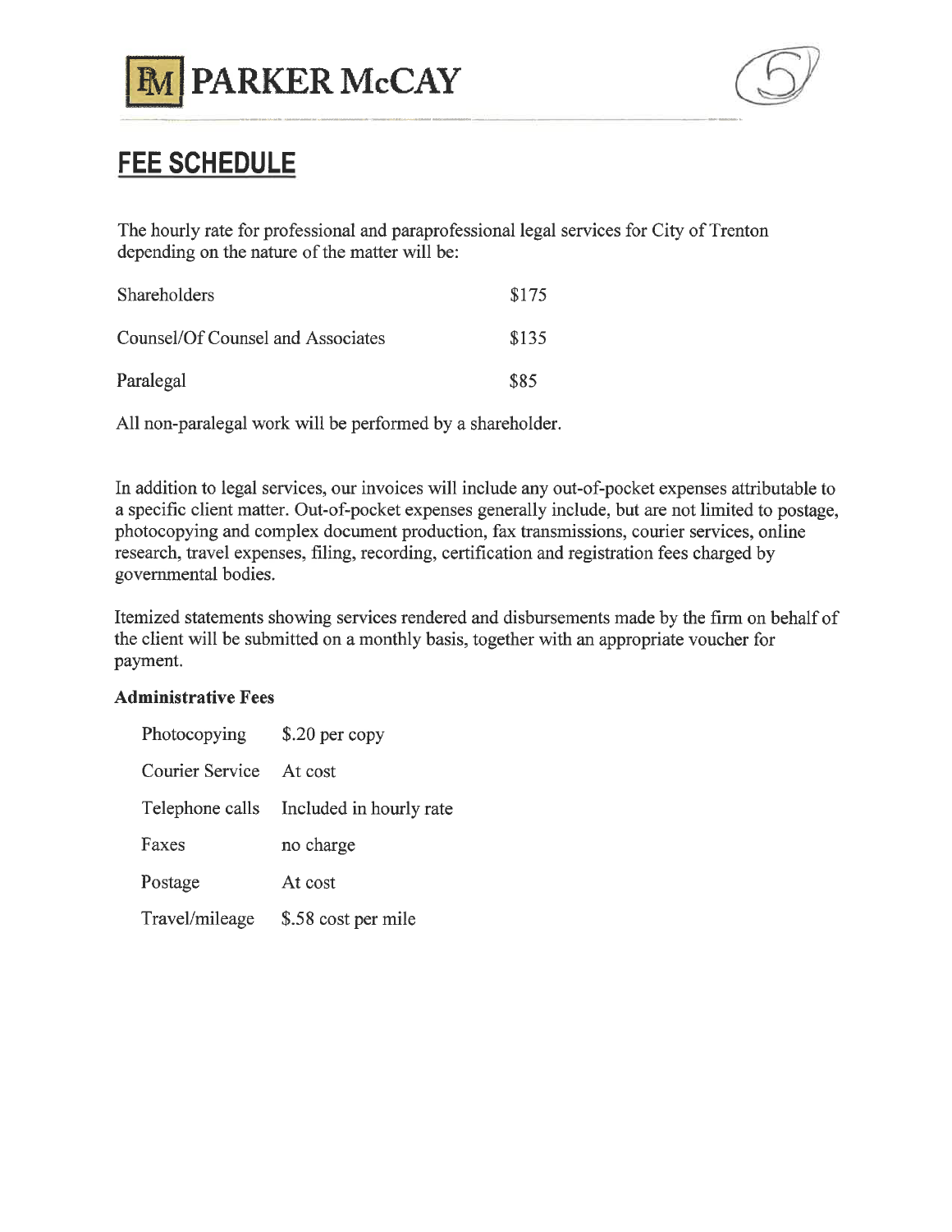



## **FEE SCHEDULE**

The hourly rate for professional and paraprofessional legal services for City of Trenton depending on the nature of the matter will be:

| Shareholders                      | \$175 |
|-----------------------------------|-------|
| Counsel/Of Counsel and Associates | \$135 |
| Paralegal                         | \$85  |

All non-paralegal work will be performed by a shareholder.

In addition to legal services, our invoices will include any out-of-pocket expenses attributable to a specific client matter. Out-of-pocket expenses generally include, but are not limited to postage, photocopying and complex document production, fax transmissions, courier services, online research, travel expenses, filing, recording, certification and registration fees charged by governmental bodies.

Itemized statements showing services rendered and disbursements made by the firm on behalf of the client will be submitted on a monthly basis, together with an appropriate voucher for payment.

#### **Administrative Fees**

| Photocopying    | $$.20$ per copy         |
|-----------------|-------------------------|
| Courier Service | At cost                 |
| Telephone calls | Included in hourly rate |
| Faxes           | no charge               |
| Postage         | At cost                 |
| Travel/mileage  | \$.58 cost per mile     |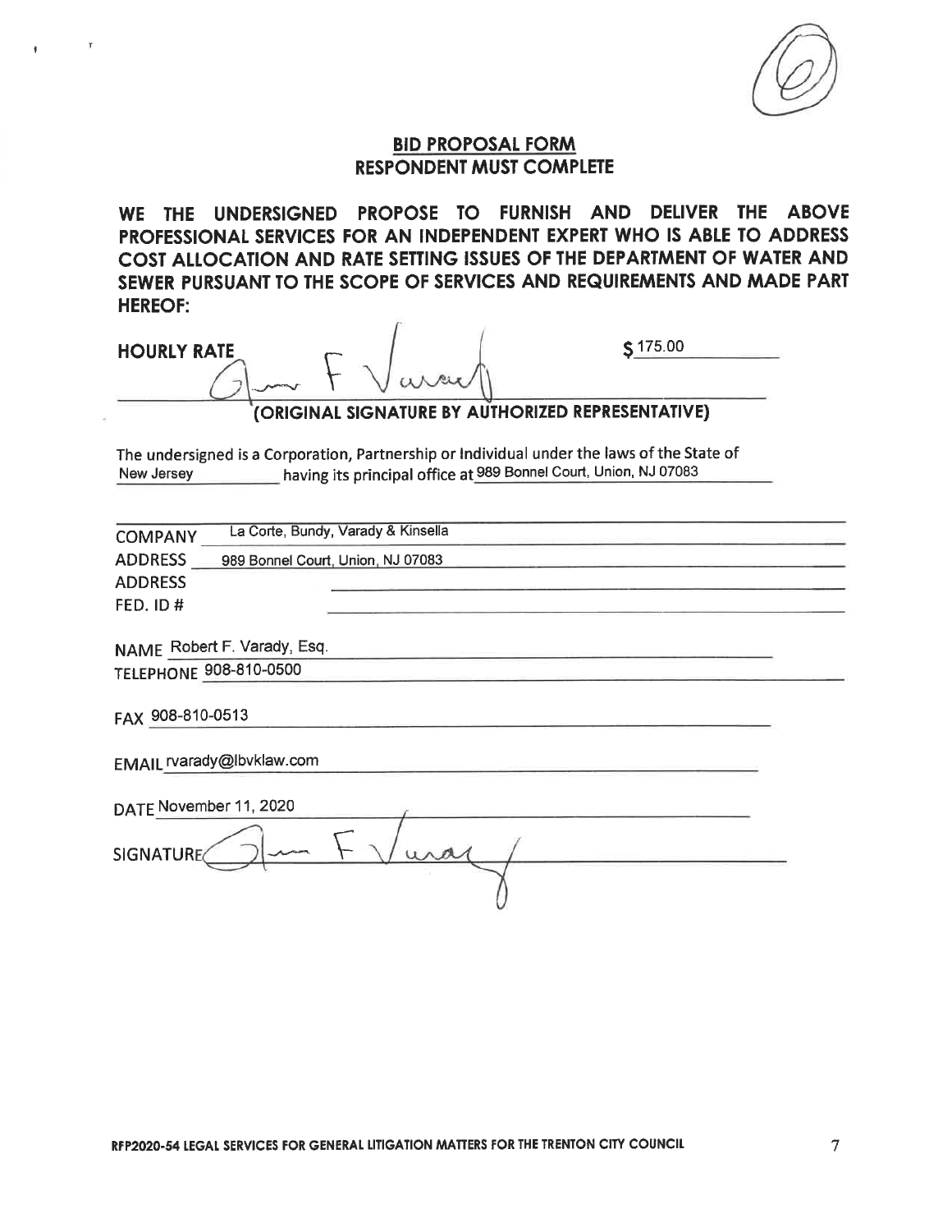

WE THE UNDERSIGNED PROPOSE TO FURNISH AND DELIVER THE ABOVE PROFESSIONAL SERVICES FOR AN INDEPENDENT EXPERT WHO IS ABLE TO ADDRESS COST ALLOCATION AND RATE SETTING ISSUES OF THE DEPARTMENT OF WATER AND SEWER PURSUANT TO THE SCOPE OF SERVICES AND REQUIREMENTS AND MADE PART **HEREOF:** 

**HOURLY RATE** 

\$175.00

#### (ORIGINAL SIGNATURE BY AUTHORIZED REPRESENTATIVE)

The undersigned is a Corporation, Partnership or Individual under the laws of the State of having its principal office at 989 Bonnel Court, Union, NJ 07083 New Jersey

| <b>COMPANY</b>                | La Corte, Bundy, Varady & Kinsella |
|-------------------------------|------------------------------------|
| <b>ADDRESS</b>                | 989 Bonnel Court, Union, NJ 07083  |
| <b>ADDRESS</b>                |                                    |
| <b>FED. ID#</b>               |                                    |
|                               |                                    |
| NAME Robert F. Varady, Esq.   |                                    |
| <b>TELEPHONE 908-810-0500</b> |                                    |
| FAX 908-810-0513              |                                    |
| EMAIL rvarady@lbvklaw.com     |                                    |
| DATE November 11, 2020        |                                    |
| <b>SIGNATURE</b>              |                                    |
|                               |                                    |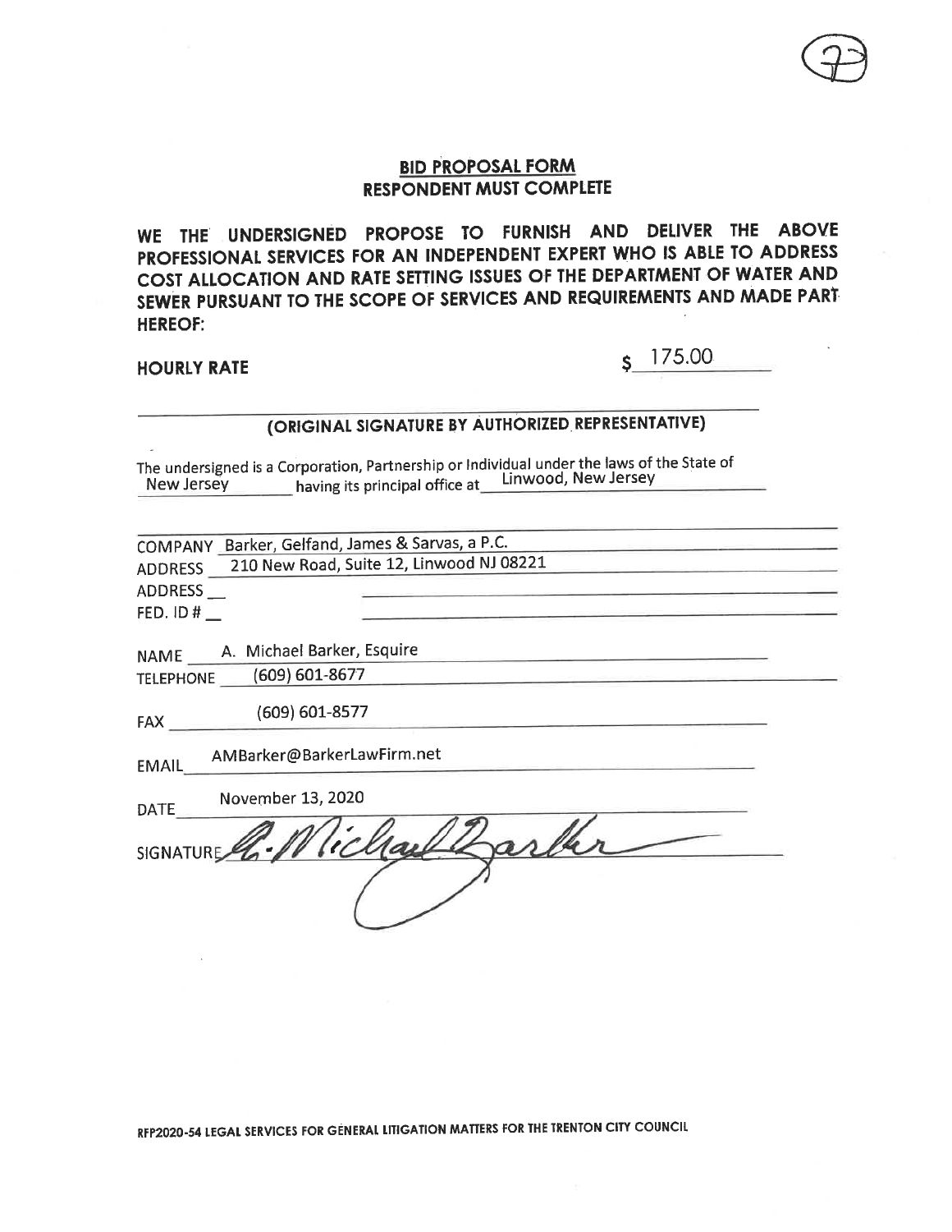WE THE UNDERSIGNED PROPOSE TO FURNISH AND DELIVER THE ABOVE PROFESSIONAL SERVICES FOR AN INDEPENDENT EXPERT WHO IS ABLE TO ADDRESS COST ALLOCATION AND RATE SETTING ISSUES OF THE DEPARTMENT OF WATER AND SEWER PURSUANT TO THE SCOPE OF SERVICES AND REQUIREMENTS AND MADE PART **HEREOF:** 

#### **HOURLY RATE**

## s 175.00

### (ORIGINAL SIGNATURE BY AUTHORIZED REPRESENTATIVE)

The undersigned is a Corporation, Partnership or Individual under the laws of the State of New Jersey having its principal office at Linwood, New Jersey

COMPANY Barker, Gelfand, James & Sarvas, a P.C. 210 New Road, Suite 12, Linwood NJ 08221 **ADDRESS** 

ADDRESS\_

FED. ID #  $\phantom{0}$ 

NAME \_\_\_\_\_\_ A. Michael Barker, Esquire TELEPHONE (609) 601-8677

(609) 601-8577  $FAX$ 

AMBarker@BarkerLawFirm.net **EMAIL** 

November 13, 2020  $\sim$   $\sim$   $\sim$   $\sim$   $\sim$ 

| DAIL        |  |
|-------------|--|
|             |  |
|             |  |
|             |  |
| SIGNATURE 6 |  |
|             |  |
|             |  |
|             |  |
|             |  |
|             |  |
|             |  |
|             |  |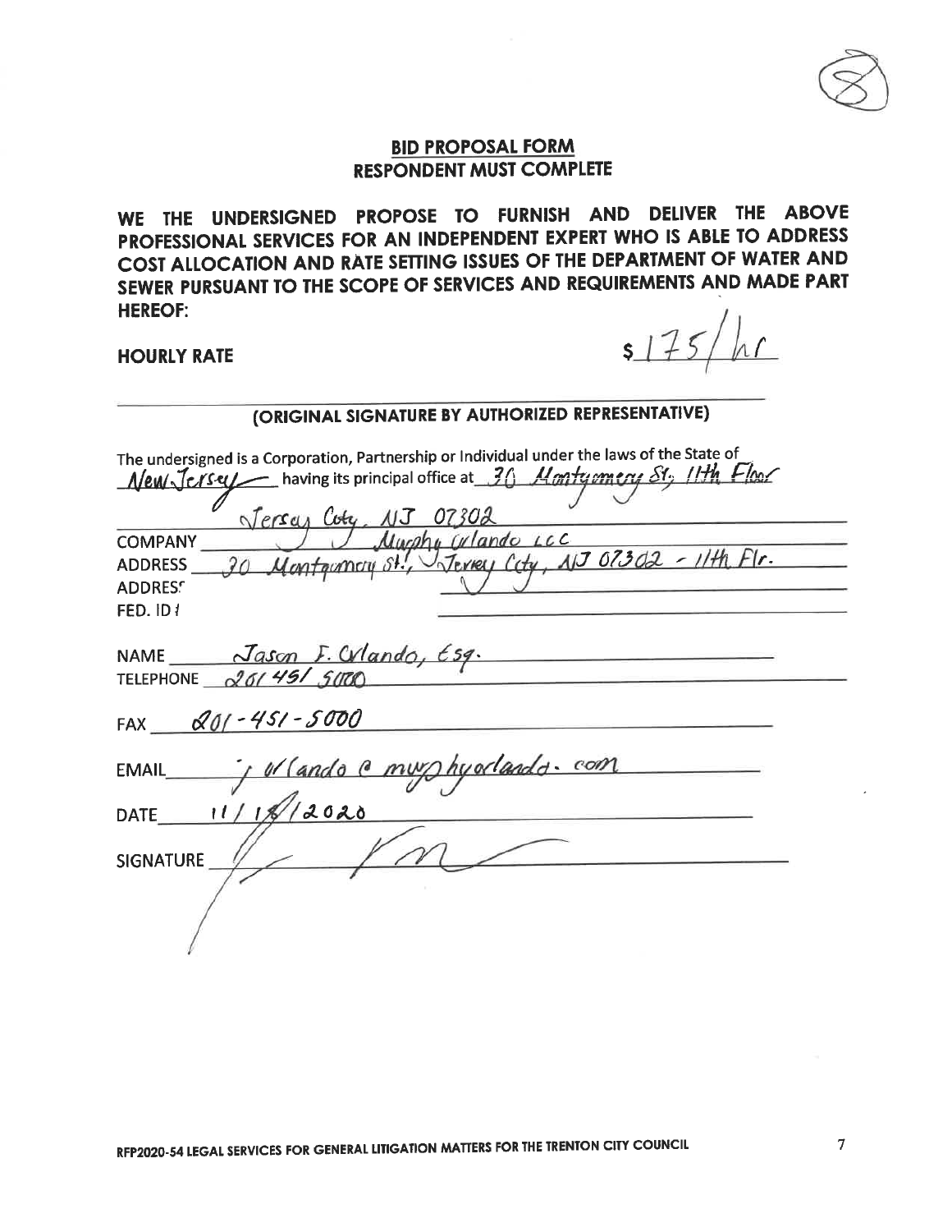WE THE UNDERSIGNED PROPOSE TO FURNISH AND DELIVER THE ABOVE PROFESSIONAL SERVICES FOR AN INDEPENDENT EXPERT WHO IS ABLE TO ADDRESS COST ALLOCATION AND RATE SETTING ISSUES OF THE DEPARTMENT OF WATER AND SEWER PURSUANT TO THE SCOPE OF SERVICES AND REQUIREMENTS AND MADE PART **HEREOF:** 

#### **HOURLY RATE**

 $5175$ 

| <b>CORIGINAL SIGNATURE BY AUTHORIZED REFRESENTATIVE)</b>                                                                                                                                                                                                                                                                                                                 |
|--------------------------------------------------------------------------------------------------------------------------------------------------------------------------------------------------------------------------------------------------------------------------------------------------------------------------------------------------------------------------|
| The undersigned is a Corporation, Partnership or Individual under the laws of the State of<br>$New\sqrt{e}$ / $I$ having its principal office at 30 <i>Montyomery St<sub>2</sub></i> / <i>Ith Flool</i><br>Jerran Coty, NJ 07302<br>Mucho Wlando LCC<br><b>COMPANY</b><br>30 Montgomery St., Stevey City, 113 07302 - 11th Fir.<br><b>ADDRESS</b><br>ADDRESS<br>FED. ID1 |
| NAME Jason F. Wlando, Esq.<br>TELEPHONE 20145/5000                                                                                                                                                                                                                                                                                                                       |
| FAX $201 - 451 - 5000$                                                                                                                                                                                                                                                                                                                                                   |
| or Cando C muy hyorlando com<br><b>EMAIL</b>                                                                                                                                                                                                                                                                                                                             |
| 11/11/12020<br><b>DATE</b>                                                                                                                                                                                                                                                                                                                                               |
| <b>SIGNATURE</b>                                                                                                                                                                                                                                                                                                                                                         |
|                                                                                                                                                                                                                                                                                                                                                                          |